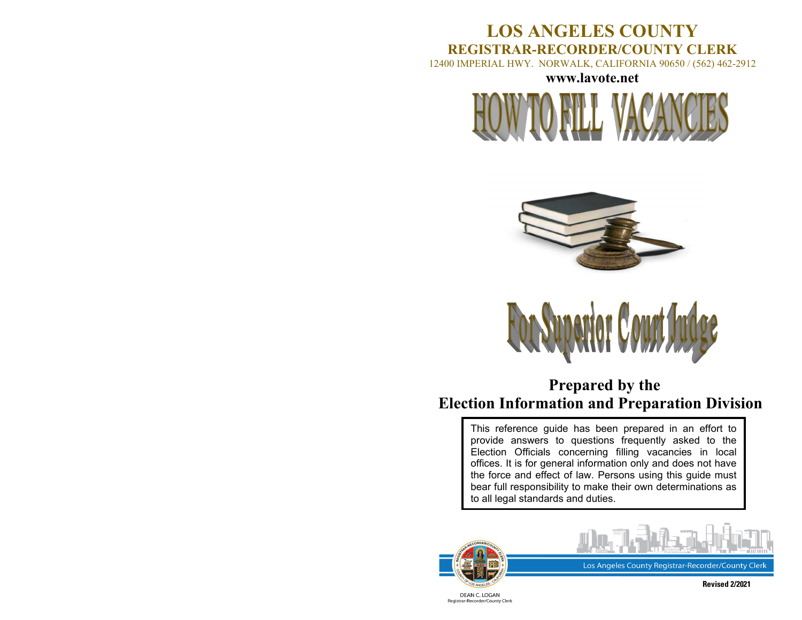## **LOS ANGELES COUNTY REGISTRAR-RECORDER/COUNTY CLERK**

12400 IMPERIAL HWY. NORWALK, CALIFORNIA 90650 / (562) 462-2912

**[www.lavote.net](http://www.lavote.net/)**







## **Prepared by the Election Information and Preparation Division**

This reference guide has been prepared in an effort to provide answers to questions frequently asked to the Election Officials concerning filling vacancies in local offices. It is for general information only and does not have the force and effect of law. Persons using this guide must bear full responsibility to make their own determinations as to all legal standards and duties.





Los Angeles County Registrar-Recorder/County Clerk

DEAN C. LOGAN Registrar-Recorder/County Clerk